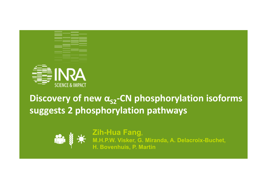

# **Discovery of new α<sub>S2</sub>-CN phosphorylation isoforms suggests 2 phosphorylation pathways**



**Zih-Hua Fang, M.H.P.W. Visker, G. Miranda, A. Delacroix-Buchet, H. Bovenhuis, P. Martin**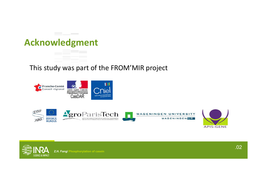# **Acknowledgment**

and the state of the state of

#### This study was part of the FROM'MIR project







**APIS-GENE**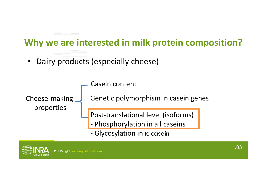## **Why we are interested in milk protein composition?**

•Dairy products (especially cheese)



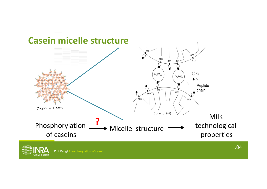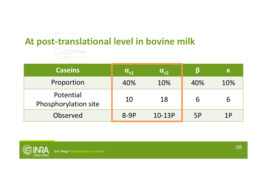# **At post‐translational level in bovine milk At post‐translational level**



| <b>Caseins</b>                    | $\alpha_{s1}$ | $\alpha_{s2}$ |           | K   |
|-----------------------------------|---------------|---------------|-----------|-----|
| Proportion                        | 40%           | 10%           | 40%       | 10% |
| Potential<br>Phosphorylation site | 10            | 18            |           | 6   |
| Observed                          | $8-9P$        | 10-13P        | <b>5P</b> | 1P  |

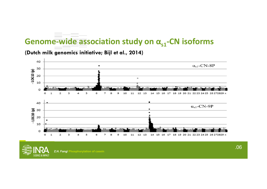### Genome-wide association study on α<sub>s1</sub>-CN isoforms



**(Dutch milk genomics initiative; Bijl et al., 2014)**

.06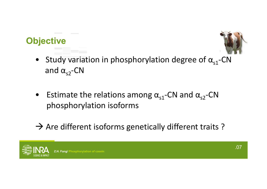# **Objective**



- Study variation in phosphorylation degree of  $\alpha_{s1}$ -CN and  $\alpha_{s2}$ -CN
- Estimate the relations among  $\alpha_{s1}$ -CN and  $\alpha_{s2}$ -CN phosphorylation isoforms
- $\rightarrow$  Are different isoforms genetically different traits ?

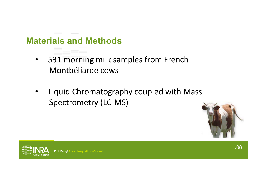### **Materials and Methods**

- $\bullet$  531 morning milk samples from French Montbéliarde cows
- • Liquid Chromatography coupled with Mass Spectrometry (LC‐MS)



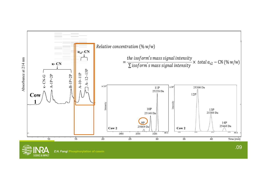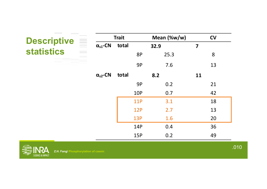| <b>Contract Contract</b>                                            |                   |       |            |             |                         |    |      |
|---------------------------------------------------------------------|-------------------|-------|------------|-------------|-------------------------|----|------|
| <b>Descriptive</b><br><b>statistics</b>                             | <b>Trait</b>      |       |            | Mean (%w/w) | <b>CV</b>               |    |      |
|                                                                     | $\alpha_{s1}$ -CN | total | 32.9       |             | $\overline{\mathbf{z}}$ |    |      |
|                                                                     |                   |       | <b>8P</b>  | 25.3        |                         | 8  |      |
|                                                                     |                   |       | 9P         | 7.6         |                         | 13 |      |
|                                                                     | $\alpha_{s2}$ -CN | total |            | 8.2         | <b>11</b>               |    |      |
|                                                                     |                   |       | 9P         | 0.2         |                         | 21 |      |
|                                                                     |                   |       | <b>10P</b> | 0.7         |                         | 42 |      |
|                                                                     |                   |       | <b>11P</b> | 3.1         |                         | 18 |      |
|                                                                     |                   |       | <b>12P</b> | 2.7         |                         | 13 |      |
|                                                                     |                   |       | <b>13P</b> | 1.6         |                         | 20 |      |
|                                                                     |                   |       | 14P        | 0.4         |                         | 36 |      |
|                                                                     |                   |       | 15P        | 0.2         |                         | 49 |      |
| Z.H. Fang/ Phosphorylation of casein<br><b>SCIENCE &amp; IMPACT</b> |                   |       |            |             |                         |    | .010 |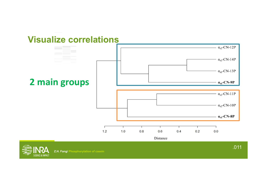#### **Visualize correlations**



**Z.H. Fang/ Phosphorylation of casein**

**CIENCE & IMPACT**